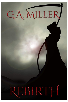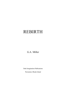# REBIRTH

G.A. Miller

Dark Imagination Publications

Pawtucket, Rhode Island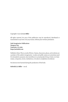Copyright @ 2022 by G.A. Miller

All rights reserved. No part of this publication may be reproduced, distributed or transmitted in any form or by any means, without prior written permission.

Dark Imagination Publications Dungeon One Pawtucket, RI 02861 https://anitabob.com

Publisher's Note: This is a work of fiction. Names, characters, places, and incidents are a product of the author's imagination. Locales and public names are sometimes used for atmospheric purposes. Any resemblance to actual people, living or dead, or to businesses, companies, events, institutions, or locales is completely coincidental.

No demons were harmed during the production of this book.

Rebirth/G.A. Miller -- 1st ed.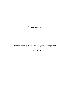For Anita and Willie

"The reports of my death have been greatly exaggerated."

 $-MARK TWAIN$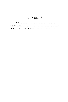## **CONTENTS**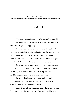### **BLACKOUT**

<span id="page-8-0"></span>With the power out again (for who knows *how* long this time?), my small house was stifling in the oppressive July heat and sleep was just not happening.

I gave up tossing and turning in the sodden bed, pulled on shorts and a t-shirt, and decided to take a walk, hoping a stray breeze might offer some relief. I saw candles through the windows of one or two fellow insomniacs, but most homes simply blended into the inky darkness of the moonless night.

I was surprised at how deathly quiet it was, not even the sound of a stray car braving the streets with no working signals on this night. The only sound was that of my sneakers on the road finding stray gravel to crunch now and then.

I'd planned to just take a walk around the block, but found myself heading to the park nearby, to maybe sit by the pond and hope for just a little moving air.

Soon after I entered the park to chase that elusive breeze, I felt goose flesh rise on my arms and paused. I couldn't see or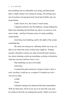hear anything, but my adrenaline was racing, and that primal *fight or flight* instinct was coming on strong. The feeling came out of nowhere, having been tired, bored and irritable only moments before.

I didn't know *how*, but I knew I wasn't alone.

I squinted uselessly into the darkness, seeing nothing but black trees blending into the black sky above, no moon or even stars to help... and then I became aware of a deep rumbling sound nearby.

*Something* was breathing, and by the depth of the sound, something big.

My mind was racing now, debating which way to go, unable to see where the source of that noise might be. Turning around, I decided to retrace my steps toward the park entrance, my senses straining to pick up something, *anything* to determine what else was here and how close it was.

That rumbling was just a bit louder.

And closer.

I scanned the path around me, trying to locate a stick, a rock, *anything* I could use as a weapon if I needed one, but it was just too dark.

Louder.

Closer.

I debated running, but dismissed that idea immediately. With my bum knee, I'd be on my ass in no time flat, easy prey for whatever the hell was making that sound. I didn't even have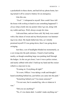a pocketknife in these shorts, and had left my phone home, having turned it off to conserve battery for an emergency.

Like this one.

*"Fuck!",* I whispered to myself. How could I have left the house with *nothing* in hand in case something happened? I *always* drop a knife into my pocket when I go out, along with my wallet and keys. Well, always except *this* time.

I shivered then, and not from cold. My body was coated with a fine sheen of sweat and my blood pressure was hammering in my chest. My hands balled into fists, as I silently promised myself if I was going down, then I was going down swinging.

Just then, a set of headlights blinded me momentarily, as a car swung into the park entrance. I heard a loud rustling nearby, as though something large was pushing itself through the hedges. As the car got closer, I saw it was a police cruiser, and nearly sobbed with relief. I held up my hand and the cruiser rolled to a stop next to me.

"Evening sir. Everything all right?"

"It is now, Officer. I was taking a walk and thought I heard something behind me, just before you came into the park."

"Some*thing* behind you? You mean someone?"

"I'm not sure, but it sounded big, who or whatever it was."

"Did you see anything?"

"No, it's too damn dark. I couldn't make anything out."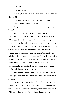"Do you live near here?"

"Oh yes, I'm just a couple blocks west of here. I couldn't sleep in this heat."

"Oh, I bet. If you like, I can give you a lift back home?"

"That would be great, thank you!"

"Hop on in the back. I'll let you out once we get to your house."

I was confused at first, then it dawned on me… they don't want the *usual* passengers in the back of a cruiser to be able to operate the doors. I got in, buckled myself and gave him the address. He finished his slow circuit through the park, then turned back toward the entrance as we talked about the unfortunate timing of a blackout during this heat wave. The air conditioning in the cruiser was a therapeutic blessing for me, calming and cooling me at the same time. I looked all around as he drove the route, but the park was even darker in contrast to the dashboard lights in the cruiser and the bright headlights cutting through the gloom ahead. The only thing visible was the road ahead, illuminated by those headlights.

I began to wonder if, being overtired, my imagination hadn't gone into overdrive, creating the whole sensation out of nothing.

Moments later, we pulled in front of my house, and he opened the door to let me out. I thanked him profusely for being there and walked through the driveway to the back door, which I'd left unlocked as I hadn't brought my keys with me.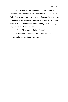I entered the kitchen and turned to face the door as I pushed it closed and turned the deadbolt handle to lock it. I exhaled deeply and stepped back from the door, turning around so I could make my way to the bathroom in the dark house… and stopped hard when I bumped into something very solid, very large in the middle of my kitchen.

"Fridge? But, how the hell… oh *shit*."

It wasn't my refrigerator. It was something else.

Oh, and it was breathing *very* deeply.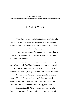### FUNNYMAN

<span id="page-14-0"></span>When Barry Martin walked out onto the small stage, he was surprised at how bright the spotlights were. The patrons seated at the tables were no more than silhouettes, but at least there seemed to be a small crowd on hand.

"Hey everyone, thanks for coming out to the Asylum tonight. I'm Barry Martin, and it's my first time here. Whadda ya say, let's have some *fun*!

As you can see, I'm *old*. I get reminded of that every day, when I watch TV. They play these non-stop commercials for Medicare Advantage insurance all day long, using spokesmen like Joe Namath, George Foreman, and Jimmie JJ Walker.

You know why? Because we *recognize* them. Because we're *old*! And if *those* don't get you feeling old enough, along come the ones for final expense insurance because they just *know* we have one foot in the grave already, don't we?

OK *fine*, I'm old. When I was growing up, we didn't have these *internet influencers* and all that crap. No, we had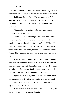fads. Remember those? The Pet Rock? Oh, another big one was the Mood Ring, the ring that changes color based on your mood.

I didn't need a mood ring. I have a mood *face*. We're constantly hearing people say that 60 is the new 40, but the cop that pulled me over on the way here did *not* seem to share that opinion."

*Nothing*, he thought. *Better kick it up some, buddy, or this'll be your last gig here.*

"Now that I've lived through a pandemic, I understand why all those Italian Renaissance paintings were of fat, naked people lying on couches all day. Scary stuff, right? If I would have had a choice when my turn arrived, I would have chosen the Pfizer vaccine. Remember, Pfizer is the company that makes Viagra. If they can raise the dead, they can certainly cure the living!

It really made me appreciate my friends, though. Good friends are harder to find than toilet paper in 2020. I even tried some of this new age stuff during that time. My wife does Yoga, so I joined her for a session. I only mastered one pose, though. The Downward Facing Chalk Outline, it was called.

I got in touch with my inner self last week, and I didn't like *that* at all. In fact, I asked my wife to *never* buy single ply toilet paper again! I even went to see a chiropractor the other day. Now, I stand corrected."

Barry was starting to sweat now, and *not* from the lights. Not even titters of polite laughter from the room.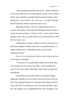"Does anybody remember the movie, 'Field of Dreams'? It's the one where Kevin Costner played a farmer who cut down all his crops and built a baseball field because he heard a voice telling him, *'If you build it, they will come'.* I wonder if the guy that invented the vibrator heard the same voice?

Speaking of such, I will *never* understand women. A woman will profess to fear and hate all things related to horror, yet her favorite position is *'Zombie Victim'*, where she lies back and gets eaten. Ah yes, good old 69, a.k.a. the meal for two with the *very* hairy view.

Talking about women, I believe all the women who've had breast implants should create their own political party. Instead of Democratic or Republican, they can call it the Tupperware Party."

*Jesus, I'm working harder than an ugly stripper up here, and nothing*, he thought.

"You have to be careful about what you say these days. For example, If I call a dog a Fur Baby, everyone thinks it's cute, but if I call a child a Skin Baby, they think I'm depraved and hideous.

And all this social media stuff is an absolute friggin' nightmare. Hoping to avoid conflict when browsing social media is like jogging barefoot in a dog park and hoping you don't step in shit. Me, I'd rather just visit a local bar and talk to people. The regulars at my neighborhood bar were so happy to see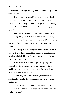me return the other night that they invited me to be the goalie on their dart team!

I've had people ask me if alcoholics run in my family, but I tell them nah, they just stumble around and break shit, that's all. I used to enjoy when they'd all get lit and try singing nursery rhymes. *'Old MacDonald had Tourette's, E, I, E, I, fuck!'* "

*I give up*, he thought. *Let's wrap this up and move on.*

"Hey folks, I'm Barry Martin, and thanks for coming out. If you enjoyed the show, visit my web site at BM dot funny, and no, that's *not* the one about enjoying your bowel movements.

I'll leave you with a thought from the great George Carlin, who told us that there might not be an *I* in team, but there certainly is in Individuality, Independence, and Integrity, so always be yourselves and…"

Barry stopped, his mouth agape. The spotlights had dimmed, and the houselights had come up, and now that he could see the audience, he saw they were all *corpses*, in varying states of decomposition and rot.

*"What the fuck…",* he whispered, hearing footsteps behind him. He turned to face a large man, dressed in a tuxedo smiling broadly.

"Nice set, Barry. I'm sure all your guests enjoyed it."

"Guests? What the *fuck* are you talking about, and who the hell are you?"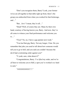"Don't you recognize them, Barry? Look, your former wives are all together at that table right up front, there's the group you embezzled from when you worked for that brokerage, and…"

"But…*how?* I mean, they're all…"

"Dead? Well, of course they are. Many by their own hand, courtesy of having known you, Barry. And now, they've all come to witness your final performance and welcome you to $\mathbb{R}^n$ 

"*Final?* No, no, I have a gig upstate next week."

"You *had* that gig, Barry. Not any longer, I fear. Do you remember that joke you used to tell about how someone would tell you to go to hell, and you said you couldn't because the devil had a restraining order against you?'

"Y-yeah, sure, what about it?"

"Congratulations, Barry. I've *lifted* my order, and we're *all* here to welcome you to Hell, a spot you've worked *very* hard to earn."

*"NOOOOOOOO!!!!!"*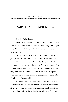#### <span id="page-20-0"></span>DOROTHY PARKER KNEW

Dorothy Parker knew.

Between the carefully edited news stories on the TV and the nervous conversations in the church hall during Friday night bingo filled with all the lurid details left *out* of the news broadcasts, she knew.

"The Rhode Island Ripper", as he'd been dubbed by the press, wasn't the first serial killer to make headlines in their area, but he was far and away the most sadistic of the lot. He followed in the footsteps of the original Ripper, eviscerating his victims after slashing their throats and taking an internal organ away with him as a heinous souvenir of the crime. The police, despite all the technology at their disposal, had no clue as to his identity… but Dorothy did.

A mother knows her child, after all. Her dear husband Tom tried his best to keep it from her, but she remembered the stories about what was happening to so many small animals in the neighborhood, and the strained glances between father and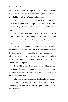son at the dinner table. The angry conversations in the basement, Roger's denials sounding less than genuine, as though he was lying, holding back when Tom questioned him.

She'd need to do some shopping first, and then write a letter to her daughter Sarah to explain it all, and then just wait for her son Roger to come back home for his annual Christmas visit.

She'd make his favorite meal, a meat loaf with mashed potato and chopped spinach, along with her special gravy. Same as he'd loved all his life, but with *one* small difference in the gravy.

When they first bought the house all those years ago, they found it had a vermin problem. Her husband bought some strychnine and set out traps, and the problem was quickly solved. As the children came along, he'd stowed the remaining poison in the rafters of the basement, a place curious kids wouldn't tend to explore.

But he'd told his wife where it was, and it had remained there for decades now, the vermin having wisely chosen to nest elsewhere. She'd need the stepladder to get to it, of course, but that could wait for now.

She went to see Frank the butcher first, for the mixture of ground beef, pork and veal she needed to make the loaf, and then to the grocery for the potatoes and spinach, along with a few other items.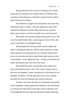Roger planned to arrive early on Christmas Eve, Sarah saying she'd be delayed, but would be there on Christmas day, sometime in the afternoon, so Dorothy's special meal would be their Christmas Eve dinner.

She shifted her weight in the hard plastic seat on the bus, enduring the pain in silence. The same aggressive cancer that claimed her husband Tom had settled into her now, and she didn't need a doctor to tell her she didn't have much time left.

She finally arrived home and put her groceries away. She sat at the small kitchen table, a pad of paper in front of her, and wrote a long letter to her daughter Sarah.

She apologized for leaving Sarah with the unpleasant chore of cleaning up after her, and the undue attention it would surely generate, but explained her own condition and her decision to use the time she had to make things right and put an end to the killings. As she signed the letter, a single tear fell from her cheek, blurring the ink at the end of her name.

She folded the sheets, inserted them into a plain envelope, and licked the flap to seal it. She wrote a single word on the front, her daughter's name, and placed it on the bureau in her daughter's bedroom. All that remained to do was to carefully fetch the box from the basement and wait for tomorrow.

Dorothy went down the stairs to the basement and picked up the stepladder, leaning against her husband's old work bench, as it always did. She took it to the dark corner in the back, next to the bulkhead, the one where the labyrinth of pipes made their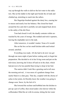way up through the walls to deliver the hot water to the radiators. She set the ladder in the tight spot beside the oil tank and climbed up, stretching to reach into the rafters.

Her fingertips brushed against the dusty box, causing her to sneeze and nearly lose her balance. She closed her hand around the box and slid it carefully out and stepped back down to the safety of the dirt floor.

Tom had closed it well, the deadly contents within untouched by the years of storage. She nodded and took it upstairs, leaving the stepladder next to the tank.

After tomorrow, it wouldn't matter. None of it would. She set the box on her small kitchen table and looked around, satisfied.

Everything was ready. All she had to do now was get through one more night of pain before waking early to begin her preparation. She decided to sit in her living room and put on the television, knowing she'd doze off and on in the chair, which had proven to be less painful than trying to sleep in her bed.

The sunrise didn't look like a greeting card at all once the morning arrived... it was more of a gradient change from nearly black to a slate gray. That sky, coupled with the chorus of aches in her joints, let Dorothy know the weather was going to change soon. Snow, by the feel of it.

She lowered the recliner and hobbled into the kitchen to put up a pot of coffee, then stood under a hot shower while the coffeemaker filled the air with its aroma, letting the hot water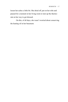lessen her aches a little bit. She dried off, put on her robe and paused for a moment in her living room to turn up the thermostat on her way to get dressed.

On this, of all days, she wasn't worried about conserving the heating oil in her basement.